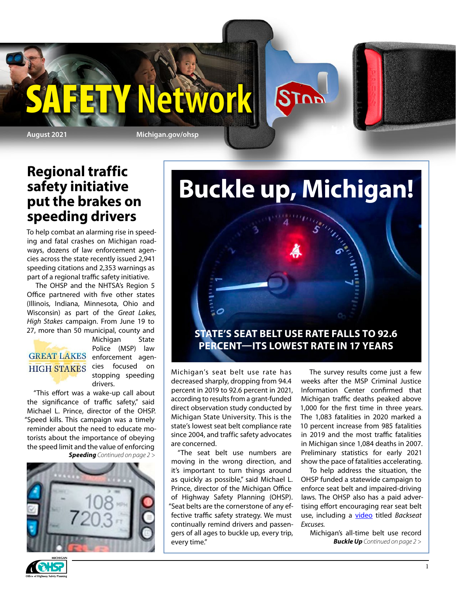



### **Regional traffic safety initiative put the brakes on speeding drivers**

To help combat an alarming rise in speeding and fatal crashes on Michigan roadways, dozens of law enforcement agencies across the state recently issued 2,941 speeding citations and 2,353 warnings as part of a regional traffic safety initiative.

The OHSP and the NHTSA's Region 5 Office partnered with five other states (Illinois, Indiana, Minnesota, Ohio and Wisconsin) as part of the *Great Lakes, High Stakes* campaign. From June 19 to 27, more than 50 municipal, county and

# **HIGH STAKES**

Michigan State Police (MSP) law GREAT LAKES enforcement agencies focused on stopping speeding drivers.

"This effort was a wake-up call about the significance of traffic safety," said Michael L. Prince, director of the OHSP. "Speed kills. This campaign was a timely reminder about the need to educate motorists about the importance of obeying the speed limit and the value of enforcing *Speeding Continued on page 2 >*



# **Buckle up, Michigan!**

### **STATE'S SEAT BELT USE RATE FALLS TO 92.6 PERCENT—ITS LOWEST RATE IN 17 YEARS**

Michigan's seat belt use rate has decreased sharply, dropping from 94.4 percent in 2019 to 92.6 percent in 2021, according to results from a grant-funded direct observation study conducted by Michigan State University. This is the state's lowest seat belt compliance rate since 2004, and traffic safety advocates are concerned.

"The seat belt use numbers are moving in the wrong direction, and it's important to turn things around as quickly as possible," said Michael L. Prince, director of the Michigan Office of Highway Safety Planning (OHSP). "Seat belts are the cornerstone of any effective traffic safety strategy. We must continually remind drivers and passengers of all ages to buckle up, every trip, every time."

The survey results come just a few weeks after the MSP Criminal Justice Information Center confirmed that Michigan traffic deaths peaked above 1,000 for the first time in three years. The 1,083 fatalities in 2020 marked a 10 percent increase from 985 fatalities in 2019 and the most traffic fatalities in Michigan since 1,084 deaths in 2007. Preliminary statistics for early 2021 show the pace of fatalities accelerating.

To help address the situation, the OHSP funded a statewide campaign to enforce seat belt and impaired-driving laws. The OHSP also has a paid advertising effort encouraging rear seat belt use, including a [video](https://www.youtube.com/watch?v=HLYJ3d6-ENM) titled *Backseat Excuses.*

Michigan's all-time belt use record *Buckle Up Continued on page 2 >*

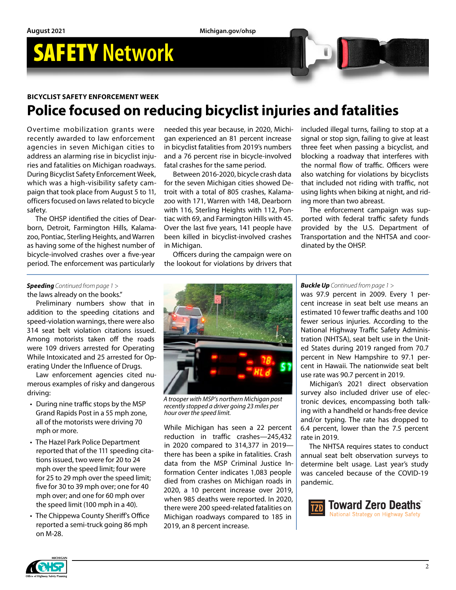#### **BICYCLIST SAFETY ENFORCEMENT WEEK**

## **Police focused on reducing bicyclist injuries and fatalities**

Overtime mobilization grants were recently awarded to law enforcement agencies in seven Michigan cities to address an alarming rise in bicyclist injuries and fatalities on Michigan roadways. During Bicyclist Safety Enforcement Week, which was a high-visibility safety campaign that took place from August 5 to 11, officers focused on laws related to bicycle safety.

The OHSP identified the cities of Dearborn, Detroit, Farmington Hills, Kalamazoo, Pontiac, Sterling Heights, and Warren as having some of the highest number of bicycle-involved crashes over a five-year period. The enforcement was particularly

needed this year because, in 2020, Michigan experienced an 81 percent increase in bicyclist fatalities from 2019's numbers and a 76 percent rise in bicycle-involved fatal crashes for the same period.

Between 2016-2020, bicycle crash data for the seven Michigan cities showed Detroit with a total of 805 crashes, Kalamazoo with 171, Warren with 148, Dearborn with 116, Sterling Heights with 112, Pontiac with 69, and Farmington Hills with 45. Over the last five years, 141 people have been killed in bicyclist-involved crashes in Michigan.

Officers during the campaign were on the lookout for violations by drivers that included illegal turns, failing to stop at a signal or stop sign, failing to give at least three feet when passing a bicyclist, and blocking a roadway that interferes with the normal flow of traffic. Officers were also watching for violations by bicyclists that included not riding with traffic, not using lights when biking at night, and riding more than two abreast.

The enforcement campaign was supported with federal traffic safety funds provided by the U.S. Department of Transportation and the NHTSA and coordinated by the OHSP.

#### *Speeding Continued from page 1 >*

the laws already on the books."

Preliminary numbers show that in addition to the speeding citations and speed-violation warnings, there were also 314 seat belt violation citations issued. Among motorists taken off the roads were 109 drivers arrested for Operating While Intoxicated and 25 arrested for Operating Under the Influence of Drugs.

Law enforcement agencies cited numerous examples of risky and dangerous driving:

- During nine traffic stops by the MSP Grand Rapids Post in a 55 mph zone, all of the motorists were driving 70 mph or more.
- The Hazel Park Police Department reported that of the 111 speeding citations issued, two were for 20 to 24 mph over the speed limit; four were for 25 to 29 mph over the speed limit; five for 30 to 39 mph over; one for 40 mph over; and one for 60 mph over the speed limit (100 mph in a 40).
- The Chippewa County Sheriff's Office reported a semi-truck going 86 mph on M-28.



*A trooper with MSP's northern Michigan post recently stopped a driver going 23 miles per hour over the speed limit.*

While Michigan has seen a 22 percent reduction in traffic crashes—245,432 in 2020 compared to 314,377 in 2019 there has been a spike in fatalities. Crash data from the MSP Criminal Justice Information Center indicates 1,083 people died from crashes on Michigan roads in 2020, a 10 percent increase over 2019, when 985 deaths were reported. In 2020, there were 200 speed-related fatalities on Michigan roadways compared to 185 in 2019, an 8 percent increase.

#### *Buckle Up Continued from page 1 >*

was 97.9 percent in 2009. Every 1 percent increase in seat belt use means an estimated 10 fewer traffic deaths and 100 fewer serious injuries. According to the National Highway Traffic Safety Administration (NHTSA), seat belt use in the United States during 2019 ranged from 70.7 percent in New Hampshire to 97.1 percent in Hawaii. The nationwide seat belt use rate was 90.7 percent in 2019.

Michigan's 2021 direct observation survey also included driver use of electronic devices, encompassing both talking with a handheld or hands-free device and/or typing. The rate has dropped to 6.4 percent, lower than the 7.5 percent rate in 2019.

The NHTSA requires states to conduct annual seat belt observation surveys to determine belt usage. Last year's study was canceled because of the COVID-19 pandemic.



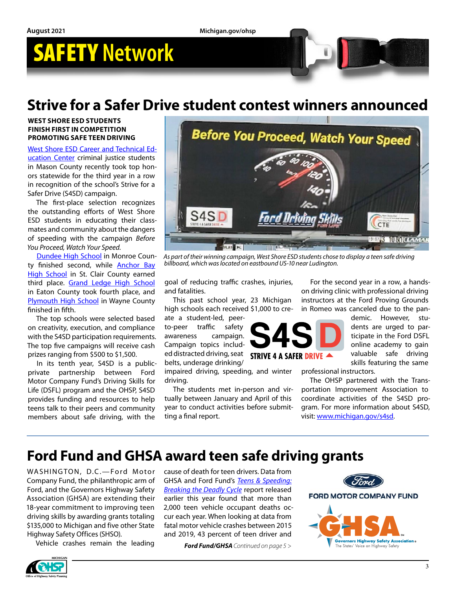### **Strive for a Safer Drive student contest winners announced**

#### **WEST SHORE ESD STUDENTS FINISH FIRST IN COMPETITION PROMOTING SAFE TEEN DRIVING**

[West Shore ESD Career and Technical Ed](https://www.michigan.gov/documents/msp/West_Shore-1_PDF_725993_7.pdf)[ucation Center](https://www.michigan.gov/documents/msp/West_Shore-1_PDF_725993_7.pdf) criminal justice students in Mason County recently took top honors statewide for the third year in a row in recognition of the school's Strive for a Safer Drive (S4SD) campaign.

The first-place selection recognizes the outstanding efforts of West Shore ESD students in educating their classmates and community about the dangers of speeding with the campaign *Before You Proceed, Watch Your Speed.*

[Dundee High School](https://www.michigan.gov/documents/msp/Dundee-2_PDF_725992_7.pdf) in Monroe County finished second, while [Anchor Bay](https://www.michigan.gov/documents/msp/Anchor_Bay-3_725989_7.pdf)  [High School](https://www.michigan.gov/documents/msp/Anchor_Bay-3_725989_7.pdf) in St. Clair County earned third place. [Grand Ledge High School](https://www.michigan.gov/documents/msp/Grand_Ledge-4_PDF_725994_7.pdf) in Eaton County took fourth place, and [Plymouth High School](https://www.youtube.com/watch?v=Op5jfiim8nI) in Wayne County finished in fifth.

The top schools were selected based on creativity, execution, and compliance with the S4SD participation requirements. The top five campaigns will receive cash prizes ranging from \$500 to \$1,500.

In its tenth year, S4SD is a publicprivate partnership between Ford Motor Company Fund's Driving Skills for Life (DSFL) program and the OHSP, S4SD provides funding and resources to help teens talk to their peers and community members about safe driving, with the



*As part of their winning campaign, West Shore ESD students chose to display a teen safe driving billboard, which was located on eastbound US-10 near Ludington.*

goal of reducing traffic crashes, injuries, and fatalities.

This past school year, 23 Michigan high schools each received \$1,000 to cre-

ate a student-led, peerto-peer traffic safety awareness campaign. Campaign topics included distracted driving, seat belts, underage drinking/

impaired driving, speeding, and winter driving.

The students met in-person and virtually between January and April of this year to conduct activities before submitting a final report.

For the second year in a row, a handson driving clinic with professional driving instructors at the Ford Proving Grounds in Romeo was canceled due to the pan-



demic. However, students are urged to participate in the Ford DSFL online academy to gain valuable safe driving skills featuring the same

professional instructors.

The OHSP partnered with the Transportation Improvement Association to coordinate activities of the S4SD program. For more information about S4SD, visit: [www.michigan.gov/s4sd](http://www.michigan.gov/s4sd).

### **Ford Fund and GHSA award teen safe driving grants**

WASHINGTON, D.C.-Ford Motor Company Fund, the philanthropic arm of Ford, and the Governors Highway Safety Association (GHSA) are extending their 18-year commitment to improving teen driving skills by awarding grants totaling \$135,000 to Michigan and five other State Highway Safety Offices (SHSO).

Vehicle crashes remain the leading

cause of death for teen drivers. Data from GHSA and Ford Fund's *[Teens & Speeding:](https://gcc02.safelinks.protection.outlook.com/?url=https%3A%2F%2Fr20.rs6.net%2Ftn.jsp%3Ff%3D0013qS0lNbNBKrKj3Qo4krp6TJmbOVnktDaQl_jztsb4fwpoxcDV9NMCjE9q5in3pYFPEeK8EyCXGQU-ZLoB15oK57rlDW4Qi0hAf5Fkr73jw4T2QtNNuCkzr-BamsO4o2AEMAPxuM7I6oqsmLtuchoD5NNuF9IYvbz4i0l5o7ejdc2znpbKJ_ijSxif1XapGU5SCD5qXUmqRaDPN3XxP2g_Tcu6PFPU2Cg%26c%3DMSZBUp-NKCo7D_6NP9xkpCmRNKJoQ_3FaR-4jDRo_YpJ3XXaLWG5cg%3D%3D%26ch%3DI-EV0aWFs3xfg2NeQvMUlRFJqmeVb8N0bu8vP4UtNcwUGnSwkfaQ3g%3D%3D&data=04%7C01%7CRaymoD%40michigan.gov%7C060dc676b1a34d694a9d08d951c95a19%7Cd5fb7087377742ad966a892ef47225d1%7C0%7C0%7C637630747498370424%7CUnknown%7CTWFpbGZsb3d8eyJWIjoiMC4wLjAwMDAiLCJQIjoiV2luMzIiLCJBTiI6Ik1haWwiLCJXVCI6Mn0%3D%7C1000&sdata=c0dDTWA9R6ZrA%2FxhZRZU5jVTv4qGaDNyVJO%2F%2BgMLONM%3D&reserved=0)  [Breaking the Deadly Cycle](https://gcc02.safelinks.protection.outlook.com/?url=https%3A%2F%2Fr20.rs6.net%2Ftn.jsp%3Ff%3D0013qS0lNbNBKrKj3Qo4krp6TJmbOVnktDaQl_jztsb4fwpoxcDV9NMCjE9q5in3pYFPEeK8EyCXGQU-ZLoB15oK57rlDW4Qi0hAf5Fkr73jw4T2QtNNuCkzr-BamsO4o2AEMAPxuM7I6oqsmLtuchoD5NNuF9IYvbz4i0l5o7ejdc2znpbKJ_ijSxif1XapGU5SCD5qXUmqRaDPN3XxP2g_Tcu6PFPU2Cg%26c%3DMSZBUp-NKCo7D_6NP9xkpCmRNKJoQ_3FaR-4jDRo_YpJ3XXaLWG5cg%3D%3D%26ch%3DI-EV0aWFs3xfg2NeQvMUlRFJqmeVb8N0bu8vP4UtNcwUGnSwkfaQ3g%3D%3D&data=04%7C01%7CRaymoD%40michigan.gov%7C060dc676b1a34d694a9d08d951c95a19%7Cd5fb7087377742ad966a892ef47225d1%7C0%7C0%7C637630747498370424%7CUnknown%7CTWFpbGZsb3d8eyJWIjoiMC4wLjAwMDAiLCJQIjoiV2luMzIiLCJBTiI6Ik1haWwiLCJXVCI6Mn0%3D%7C1000&sdata=c0dDTWA9R6ZrA%2FxhZRZU5jVTv4qGaDNyVJO%2F%2BgMLONM%3D&reserved=0)* report released earlier this year found that more than 2,000 teen vehicle occupant deaths occur each year. When looking at data from fatal motor vehicle crashes between 2015 and 2019, 43 percent of teen driver and

*Ford Fund/GHSA Continued on page 5 >*



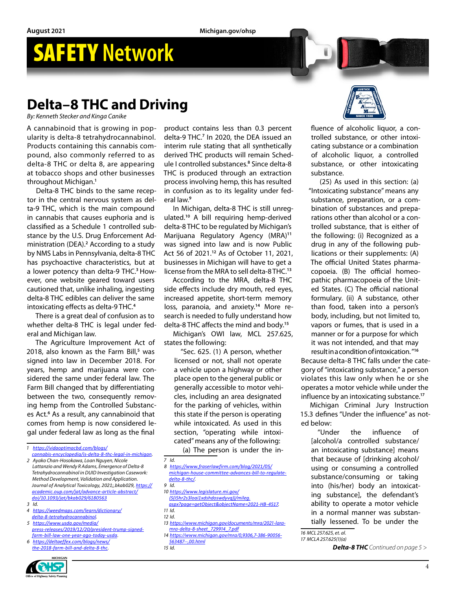## **Delta–8 THC and Driving**

*By: Kenneth Stecker and Kinga Canike*

A cannabinoid that is growing in popularity is delta-8 tetrahydrocannabinol. Products containing this cannabis compound, also commonly referred to as delta-8 THC or delta 8, are appearing at tobacco shops and other businesses throughout Michigan.**<sup>1</sup>**

Delta-8 THC binds to the same receptor in the central nervous system as delta-9 THC, which is the main compound in cannabis that causes euphoria and is classified as a Schedule 1 controlled substance by the U.S. Drug Enforcement Administration (DEA).<sup>2</sup> According to a study by NMS Labs in Pennsylvania, delta-8 THC has psychoactive characteristics, but at a lower potency than delta-9 THC.**3** However, one website geared toward users cautioned that, unlike inhaling, ingesting delta-8 THC edibles can deliver the same intoxicating effects as delta-9 THC.**<sup>4</sup>**

There is a great deal of confusion as to whether delta-8 THC is legal under federal and Michigan law.

The Agriculture Improvement Act of 2018, also known as the Farm Bill,**<sup>5</sup>** was signed into law in December 2018. For years, hemp and marijuana were considered the same under federal law. The Farm Bill changed that by differentiating between the two, consequently removing hemp from the Controlled Substances Act.<sup>6</sup> As a result, any cannabinoid that comes from hemp is now considered legal under federal law as long as the final

*1 [https://vidaoptimacbd.com/blogs/](https://vidaoptimacbd.com/blogs/cannabis-encyclopedia/is-delta-8-thc-legal-in-michigan)*

- *3 Id.*
- *4 [https://weedmaps.com/learn/dictionary/](https://weedmaps.com/learn/dictionary/delta-8-tetrahydrocannabinol)*
- *[delta-8-tetrahydrocannabinol](https://weedmaps.com/learn/dictionary/delta-8-tetrahydrocannabinol). 5 [https://www.usda.gov/media/](https://www.usda.gov/media/press-releases/2019/12/20/president-trump-signed-farm-bill-law-one-year-ago-today-usda)*
- *[press-releases/2019/12/20/president-trump-signed](https://www.usda.gov/media/press-releases/2019/12/20/president-trump-signed-farm-bill-law-one-year-ago-today-usda)[farm-bill-law-one-year-ago-today-usda.](https://www.usda.gov/media/press-releases/2019/12/20/president-trump-signed-farm-bill-law-one-year-ago-today-usda)*
- *6 [https://deltaeffex.com/blogs/news/](https://deltaeffex.com/blogs/news/the-2018-farm-bill-and-delta-8-thc) [the-2018-farm-bill-and-delta-8-thc.](https://deltaeffex.com/blogs/news/the-2018-farm-bill-and-delta-8-thc)*



product contains less than 0.3 percent delta-9 THC.**<sup>7</sup>** In 2020, the DEA issued an interim rule stating that all synthetically derived THC products will remain Schedule I controlled substances.**<sup>8</sup>** Since delta-8 THC is produced through an extraction process involving hemp, this has resulted in confusion as to its legality under federal law.**<sup>9</sup>**

In Michigan, delta-8 THC is still unregulated.**<sup>10</sup>** A bill requiring hemp-derived delta-8 THC to be regulated by Michigan's Marijuana Regulatory Agency (MRA)**<sup>11</sup>** was signed into law and is now Public Act 56 of 2021.**<sup>12</sup>** As of October 11, 2021, businesses in Michigan will have to get a license from the MRA to sell delta-8 THC.**<sup>13</sup>**

According to the MRA, delta-8 THC side effects include dry mouth, red eyes, increased appetite, short-term memory loss, paranoia, and anxiety.**14** More research is needed to fully understand how delta-8 THC affects the mind and body.**<sup>15</sup>**

Michigan's OWI law, MCL 257.625, states the following:

"Sec. 625. (1) A person, whether licensed or not, shall not operate a vehicle upon a highway or other place open to the general public or generally accessible to motor vehicles, including an area designated for the parking of vehicles, within this state if the person is operating while intoxicated. As used in this section, "operating while intoxicated" means any of the following:

(a) The person is under the in-

- *7 Id.*
- *8 [https://www.fraserlawfirm.com/blog/2021/05/](https://www.fraserlawfirm.com/blog/2021/05/michigan-house-committee-advances-bill-to-regulate-delta-8-thc/) [michigan-house-committee-advances-bill-to-regulate](https://www.fraserlawfirm.com/blog/2021/05/michigan-house-committee-advances-bill-to-regulate-delta-8-thc/)[delta-8-thc/](https://www.fraserlawfirm.com/blog/2021/05/michigan-house-committee-advances-bill-to-regulate-delta-8-thc/).*

- *10 [https://www.legislature.mi.gov/](https://www.legislature.mi.gov/(S(i5hr2s3loai1xdshdoswdyvq))/mileg.aspx?page=getObject&objectName=2021-HB-4517)*
- *[\(S\(i5hr2s3loai1xdshdoswdyvq\)\)/mileg.](https://www.legislature.mi.gov/(S(i5hr2s3loai1xdshdoswdyvq))/mileg.aspx?page=getObject&objectName=2021-HB-4517) [aspx?page=getObject&objectName=2021-HB-4517.](https://www.legislature.mi.gov/(S(i5hr2s3loai1xdshdoswdyvq))/mileg.aspx?page=getObject&objectName=2021-HB-4517)*
- *11 Id.*
- *12 Id.*
- *13 [https://www.michigan.gov/documents/mra/2021-lara](https://www.michigan.gov/documents/mra/2021-lara-mra-delta-8-sheet_729914_7.pdf)[mra-delta-8-sheet\\_729914\\_7.pdf](https://www.michigan.gov/documents/mra/2021-lara-mra-delta-8-sheet_729914_7.pdf)*
- *14 [https://www.michigan.gov/mra/0,9306,7-386-90056-](https://www.michigan.gov/mra/0,9306,7-386-90056-563487--,00.html) [563487--,00.html](https://www.michigan.gov/mra/0,9306,7-386-90056-563487--,00.html)*

*15 Id.* 



fluence of alcoholic liquor, a controlled substance, or other intoxicating substance or a combination of alcoholic liquor, a controlled substance, or other intoxicating substance.

(25) As used in this section: (a) "Intoxicating substance" means any substance, preparation, or a combination of substances and preparations other than alcohol or a controlled substance, that is either of the following: (i) Recognized as a drug in any of the following publications or their supplements: (A) The official United States pharmacopoeia. (B) The official homeopathic pharmacopoeia of the United States. (C) The official national formulary. (ii) A substance, other than food, taken into a person's body, including, but not limited to, vapors or fumes, that is used in a manner or for a purpose for which it was not intended, and that may result in a condition of intoxication. "**<sup>16</sup>**

Because delta-8 THC falls under the category of "intoxicating substance," a person violates this law only when he or she operates a motor vehicle while under the influence by an intoxicating substance.**<sup>17</sup>**

Michigan Criminal Jury Instruction 15.3 defines "Under the influence" as noted below:

"Under the influence of [alcohol/a controlled substance/ an intoxicating substance] means that because of [drinking alcohol/ using or consuming a controlled substance/consuming or taking into (his/her) body an intoxicating substance], the defendant's ability to operate a motor vehicle in a normal manner was substantially lessened. To be under the

*17 MCLA 257.625(1)(a)*

*[cannabis-encyclopedia/is-delta-8-thc-legal-in-michigan.](https://vidaoptimacbd.com/blogs/cannabis-encyclopedia/is-delta-8-thc-legal-in-michigan) 2 Ayako Chan-Hosokawa, Loan Nguyen, Nicole* 

*Lattanzio and Wendy R Adams, Emergence of Delta-8 Tetrahydrocannabinol in DUID Investigation Casework: Method Development, Validation and Application. Journal of Analytical Toxicology, 2021;,bkab029, [https://](https://academic.oup.com/jat/advance-article-abstract/doi/10.1093/jat/bkab029/6180563) [academic.oup.com/jat/advance-article-abstract/](https://academic.oup.com/jat/advance-article-abstract/doi/10.1093/jat/bkab029/6180563) [doi/10.1093/jat/bkab029/6180563](https://academic.oup.com/jat/advance-article-abstract/doi/10.1093/jat/bkab029/6180563)*

*<sup>9</sup> Id.* 

*<sup>16</sup> MCL 257.625, et. al.*

*Delta-8 THC Continued on page 5 >*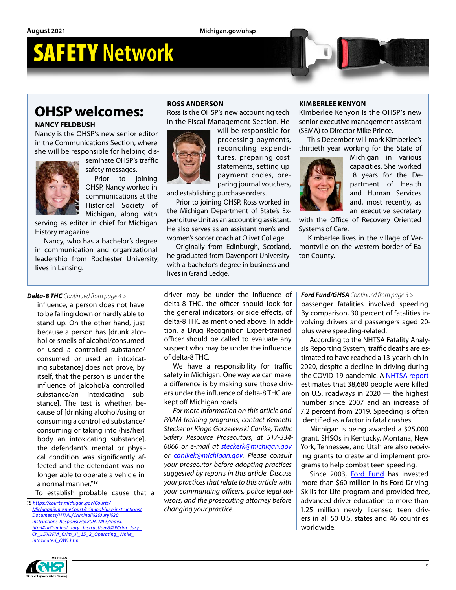## **OHSP welcomes:**

#### **NANCY FELDBUSH**

Nancy is the OHSP's new senior editor in the Communications Section, where she will be responsible for helping dis-



seminate OHSP's traffic safety messages.

Prior to joining OHSP, Nancy worked in communications at the Historical Society of Michigan, along with

serving as editor in chief for Michigan History magazine.

Nancy, who has a bachelor's degree in communication and organizational leadership from Rochester University, lives in Lansing.

#### **ROSS ANDERSON**

Ross is the OHSP's new accounting tech in the Fiscal Management Section. He



will be responsible for processing payments, reconciling expenditures, preparing cost statements, setting up payment codes, preparing journal vouchers,

and establishing purchase orders.

Prior to joining OHSP, Ross worked in the Michigan Department of State's Expenditure Unit as an accounting assistant. He also serves as an assistant men's and women's soccer coach at Olivet College.

Originally from Edinburgh, Scotland, he graduated from Davenport University with a bachelor's degree in business and lives in Grand Ledge.

#### **KIMBERLEE KENYON**

Kimberlee Kenyon is the OHSP's new senior executive management assistant (SEMA) to Director Mike Prince.

This December will mark Kimberlee's thirtieth year working for the State of



Michigan in various capacities. She worked 18 years for the Department of Health and Human Services and, most recently, as an executive secretary

with the Office of Recovery Oriented Systems of Care.

Kimberlee lives in the village of Vermontville on the western border of Eaton County.

#### *Delta-8 THC Continued from page 4 >*

influence, a person does not have to be falling down or hardly able to stand up. On the other hand, just because a person has [drunk alcohol or smells of alcohol/consumed or used a controlled substance/ consumed or used an intoxicating substance] does not prove, by itself, that the person is under the influence of [alcohol/a controlled substance/an intoxicating substance]. The test is whether, because of [drinking alcohol/using or consuming a controlled substance/ consuming or taking into (his/her) body an intoxicating substance], the defendant's mental or physical condition was significantly affected and the defendant was no longer able to operate a vehicle in a normal manner."**<sup>18</sup>**

To establish probable cause that a

*18 https://courts.michigan.gov/Courts/ MichiganSupremeCourt/criminal-jury-instructions/ Documents/HTML/Criminal%20Jury%20 Instructions-Responsive%20HTML5/index. html#t=Criminal\_Jury \_Instructions%2FCrim\_Jury \_ Ch\_15%2FM\_Crim\_JI\_15\_2\_Operating\_While\_ Intoxicated\_OWI.htm.*

driver may be under the influence of delta-8 THC, the officer should look for the general indicators, or side effects, of delta-8 THC as mentioned above. In addition, a Drug Recognition Expert-trained officer should be called to evaluate any suspect who may be under the influence of delta-8 THC.

We have a responsibility for traffic safety in Michigan. One way we can make a difference is by making sure those drivers under the influence of delta-8 THC are kept off Michigan roads.

*For more information on this article and PAAM training programs, contact Kenneth Stecker or Kinga Gorzelewski Canike, Traffic Safety Resource Prosecutors, at 517-334- 6060 or e-mail at [steckerk@michigan.gov](mailto:steckerk%40michigan.gov?subject=) or [canikek@michigan.gov.](mailto:canikek%40michigan.gov?subject=) Please consult your prosecutor before adopting practices suggested by reports in this article. Discuss your practices that relate to this article with your commanding officers, police legal advisors, and the prosecuting attorney before changing your practice.*

#### *Ford Fund/GHSA Continued from page 3 >*

passenger fatalities involved speeding. By comparison, 30 percent of fatalities involving drivers and passengers aged 20 plus were speeding-related.

According to the NHTSA Fatality Analysis Reporting System, traffic deaths are estimated to have reached a 13-year high in 2020, despite a decline in driving during the COVID-19 pandemic. A [NHTSA report](https://gcc02.safelinks.protection.outlook.com/?url=https%3A%2F%2Fr20.rs6.net%2Ftn.jsp%3Ff%3D0013qS0lNbNBKrKj3Qo4krp6TJmbOVnktDaQl_jztsb4fwpoxcDV9NMCtE43ZhftXvHN6vss5RIeBepgVMItHBU7G3pEAVroH8i-tD6lOtNUZpV2EsCDYJMsRSSPyduHwBnmfBo73AJ5vL3I7fbFyLncRaJLR3qOg3IB49Yl4ewYO1WQUdMfqX5n4N7RgaZpJqqXAQ9LwrlAZrySri_aDmMNw%3D%3D%26c%3DMSZBUp-NKCo7D_6NP9xkpCmRNKJoQ_3FaR-4jDRo_YpJ3XXaLWG5cg%3D%3D%26ch%3DI-EV0aWFs3xfg2NeQvMUlRFJqmeVb8N0bu8vP4UtNcwUGnSwkfaQ3g%3D%3D&data=04%7C01%7CRaymoD%40michigan.gov%7C060dc676b1a34d694a9d08d951c95a19%7Cd5fb7087377742ad966a892ef47225d1%7C0%7C0%7C637630747498370424%7CUnknown%7CTWFpbGZsb3d8eyJWIjoiMC4wLjAwMDAiLCJQIjoiV2luMzIiLCJBTiI6Ik1haWwiLCJXVCI6Mn0%3D%7C1000&sdata=mDNWHtWNK2t5%2Fa3FpRuPYkJVLyKdk5rmAyifdcQ6Wa4%3D&reserved=0) estimates that 38,680 people were killed on U.S. roadways in 2020 — the highest number since 2007 and an increase of 7.2 percent from 2019. Speeding is often identified as a factor in fatal crashes.

Michigan is being awarded a \$25,000 grant. SHSOs in Kentucky, Montana, New York, Tennessee, and Utah are also receiving grants to create and implement programs to help combat teen speeding.

Since 2003, [Ford Fund](https://gcc02.safelinks.protection.outlook.com/?url=https%3A%2F%2Fr20.rs6.net%2Ftn.jsp%3Ff%3D0013qS0lNbNBKrKj3Qo4krp6TJmbOVnktDaQl_jztsb4fwpoxcDV9NMCkwipZmDnYaC3BvI1pGZibo0SB1HXwwwPA8NMz0RKjrZZWuaEpjWAZ8pbe-TPis9GKvdLUqui6mNMWfWNEjHVJU1jrfGwat3wQ%3D%3D%26c%3DMSZBUp-NKCo7D_6NP9xkpCmRNKJoQ_3FaR-4jDRo_YpJ3XXaLWG5cg%3D%3D%26ch%3DI-EV0aWFs3xfg2NeQvMUlRFJqmeVb8N0bu8vP4UtNcwUGnSwkfaQ3g%3D%3D&data=04%7C01%7CRaymoD%40michigan.gov%7C060dc676b1a34d694a9d08d951c95a19%7Cd5fb7087377742ad966a892ef47225d1%7C0%7C0%7C637630747498390334%7CUnknown%7CTWFpbGZsb3d8eyJWIjoiMC4wLjAwMDAiLCJQIjoiV2luMzIiLCJBTiI6Ik1haWwiLCJXVCI6Mn0%3D%7C1000&sdata=bGIhJRHBsYQZopTK5qwwBE32iHIzX4a5SFJdKrwFbUo%3D&reserved=0) has invested more than \$60 million in its Ford Driving Skills for Life program and provided free, advanced driver education to more than 1.25 million newly licensed teen drivers in all 50 U.S. states and 46 countries worldwide.

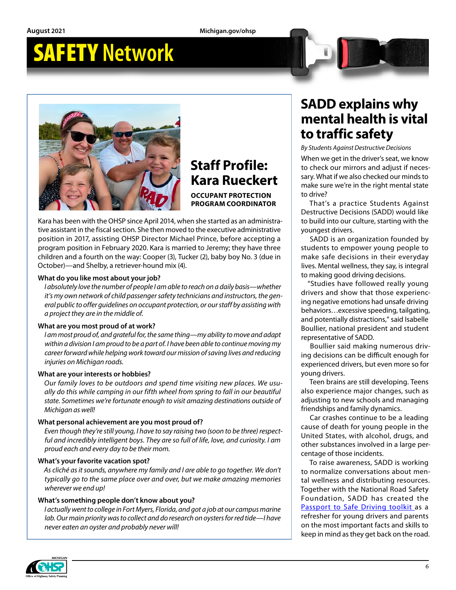**August 2021 Michigan.gov/ohsp**

## SAFETY **Network**



### **Staff Profile: Kara Rueckert OCCUPANT PROTECTION**

**PROGRAM COORDINATOR**

Kara has been with the OHSP since April 2014, when she started as an administrative assistant in the fiscal section. She then moved to the executive administrative position in 2017, assisting OHSP Director Michael Prince, before accepting a program position in February 2020. Kara is married to Jeremy; they have three children and a fourth on the way: Cooper (3), Tucker (2), baby boy No. 3 (due in October)—and Shelby, a retriever-hound mix (4).

#### **What do you like most about your job?**

*I absolutely love the number of people I am able to reach on a daily basis—whether it's my own network of child passenger safety technicians and instructors, the general public to offer guidelines on occupant protection, or our staff by assisting with a project they are in the middle of.*

#### **What are you most proud of at work?**

*I am most proud of, and grateful for, the same thing—my ability to move and adapt within a division I am proud to be a part of. I have been able to continue moving my career forward while helping work toward our mission of saving lives and reducing injuries on Michigan roads.* 

#### **What are your interests or hobbies?**

*Our family loves to be outdoors and spend time visiting new places. We usually do this while camping in our fifth wheel from spring to fall in our beautiful state. Sometimes we're fortunate enough to visit amazing destinations outside of Michigan as well!*

#### **What personal achievement are you most proud of?**

*Even though they're still young, I have to say raising two (soon to be three) respectful and incredibly intelligent boys. They are so full of life, love, and curiosity. I am proud each and every day to be their mom.*

#### **What's your favorite vacation spot?**

*As cliché as it sounds, anywhere my family and I are able to go together. We don't typically go to the same place over and over, but we make amazing memories wherever we end up!*

#### **What's something people don't know about you?**

*I actually went to college in Fort Myers, Florida, and got a job at our campus marine lab. Our main priority was to collect and do research on oysters for red tide—I have never eaten an oyster and probably never will!*

### **SADD explains why mental health is vital to traffic safety**

*By Students Against Destructive Decisions*

When we get in the driver's seat, we know to check our mirrors and adjust if necessary. What if we also checked our minds to make sure we're in the right mental state to drive?

That's a practice Students Against Destructive Decisions (SADD) would like to build into our culture, starting with the youngest drivers.

SADD is an organization founded by students to empower young people to make safe decisions in their everyday lives. Mental wellness, they say, is integral to making good driving decisions.

"Studies have followed really young drivers and show that those experiencing negative emotions had unsafe driving behaviors…excessive speeding, tailgating, and potentially distractions," said Isabelle Boullier, national president and student representative of SADD.

Boullier said making numerous driving decisions can be difficult enough for experienced drivers, but even more so for young drivers.

Teen brains are still developing. Teens also experience major changes, such as adjusting to new schools and managing friendships and family dynamics.

Car crashes continue to be a leading cause of death for young people in the United States, with alcohol, drugs, and other substances involved in a large percentage of those incidents.

To raise awareness, SADD is working to normalize conversations about mental wellness and distributing resources. Together with the National Road Safety Foundation, SADD has created the [Passport to Safe Driving toolkit](http://www.sadd.org/PassportToSafeDriving) as a refresher for young drivers and parents on the most important facts and skills to keep in mind as they get back on the road.

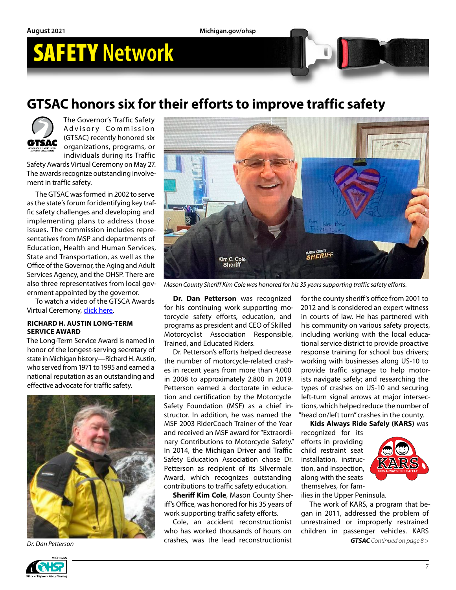### **GTSAC honors six for their efforts to improve traffic safety**



The Governor's Traffic Safety Advisory Commission (GTSAC) recently honored six organizations, programs, or individuals during its Traffic

Safety Awards Virtual Ceremony on May 27. The awards recognize outstanding involvement in traffic safety.

The GTSAC was formed in 2002 to serve as the state's forum for identifying key traffic safety challenges and developing and implementing plans to address those issues. The commission includes representatives from MSP and departments of Education, Health and Human Services, State and Transportation, as well as the Office of the Governor, the Aging and Adult Services Agency, and the OHSP. There are also three representatives from local government appointed by the governor.

To watch a video of the GTSCA Awards Virtual Ceremony, [click here](https://bit.ly/3uwsxzk).

#### **RICHARD H. AUSTIN LONG-TERM SERVICE AWARD**

The Long-Term Service Award is named in honor of the longest-serving secretary of state in Michigan history—Richard H. Austin, who served from 1971 to 1995 and earned a national reputation as an outstanding and effective advocate for traffic safety.





*Mason County Sheriff Kim Cole was honored for his 35 years supporting traffic safety efforts.*

**Dr. Dan Petterson** was recognized for his continuing work supporting motorcycle safety efforts, education, and programs as president and CEO of Skilled Motorcyclist Association Responsible, Trained, and Educated Riders.

Dr. Petterson's efforts helped decrease the number of motorcycle-related crashes in recent years from more than 4,000 in 2008 to approximately 2,800 in 2019. Petterson earned a doctorate in education and certification by the Motorcycle Safety Foundation (MSF) as a chief instructor. In addition, he was named the MSF 2003 RiderCoach Trainer of the Year and received an MSF award for "Extraordinary Contributions to Motorcycle Safety." In 2014, the Michigan Driver and Traffic Safety Education Association chose Dr. Petterson as recipient of its Silvermale Award, which recognizes outstanding contributions to traffic safety education.

**Sheriff Kim Cole**, Mason County Sheriff's Office, was honored for his 35 years of work supporting traffic safety efforts.

Cole, an accident reconstructionist who has worked thousands of hours on crashes, was the lead reconstructionist *Dr. Dan Petterson GTSAC Continued on page 8 >*

for the county sheriff's office from 2001 to 2012 and is considered an expert witness in courts of law. He has partnered with his community on various safety projects, including working with the local educational service district to provide proactive response training for school bus drivers; working with businesses along US-10 to provide traffic signage to help motorists navigate safely; and researching the types of crashes on US-10 and securing left-turn signal arrows at major intersections, which helped reduce the number of "head on/left turn" crashes in the county.

**Kids Always Ride Safely (KARS)** was

recognized for its efforts in providing child restraint seat installation, instruction, and inspection, along with the seats themselves, for fam-



ilies in the Upper Peninsula.

The work of KARS, a program that began in 2011, addressed the problem of unrestrained or improperly restrained children in passenger vehicles. KARS